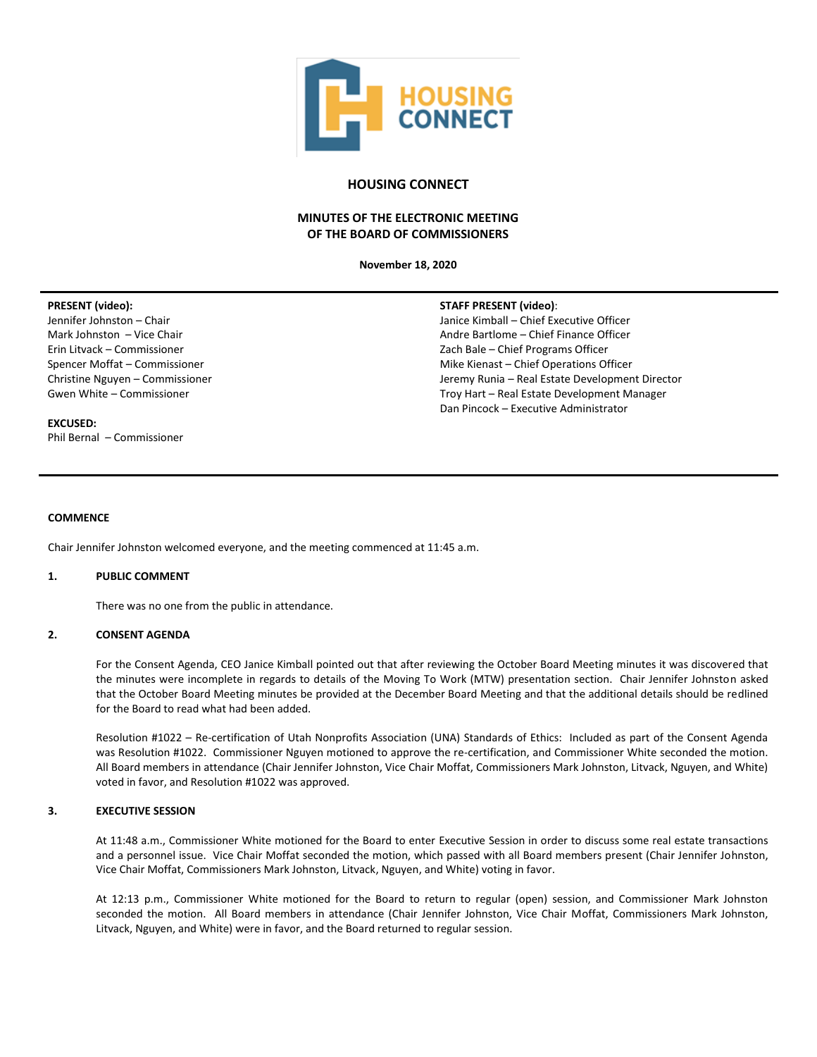

# **HOUSING CONNECT**

# **MINUTES OF THE ELECTRONIC MEETING OF THE BOARD OF COMMISSIONERS**

**November 18, 2020**

## **PRESENT (video):**

Jennifer Johnston – Chair Mark Johnston – Vice Chair Erin Litvack – Commissioner Spencer Moffat – Commissioner Christine Nguyen – Commissioner Gwen White – Commissioner

## **EXCUSED:**

Phil Bernal – Commissioner

#### **STAFF PRESENT (video)**:

Janice Kimball – Chief Executive Officer Andre Bartlome – Chief Finance Officer Zach Bale – Chief Programs Officer Mike Kienast – Chief Operations Officer Jeremy Runia – Real Estate Development Director Troy Hart – Real Estate Development Manager Dan Pincock – Executive Administrator

#### **COMMENCE**

Chair Jennifer Johnston welcomed everyone, and the meeting commenced at 11:45 a.m.

# **1. PUBLIC COMMENT**

There was no one from the public in attendance.

## **2. CONSENT AGENDA**

For the Consent Agenda, CEO Janice Kimball pointed out that after reviewing the October Board Meeting minutes it was discovered that the minutes were incomplete in regards to details of the Moving To Work (MTW) presentation section. Chair Jennifer Johnston asked that the October Board Meeting minutes be provided at the December Board Meeting and that the additional details should be redlined for the Board to read what had been added.

Resolution #1022 – Re-certification of Utah Nonprofits Association (UNA) Standards of Ethics: Included as part of the Consent Agenda was Resolution #1022. Commissioner Nguyen motioned to approve the re-certification, and Commissioner White seconded the motion. All Board members in attendance (Chair Jennifer Johnston, Vice Chair Moffat, Commissioners Mark Johnston, Litvack, Nguyen, and White) voted in favor, and Resolution #1022 was approved.

## **3. EXECUTIVE SESSION**

At 11:48 a.m., Commissioner White motioned for the Board to enter Executive Session in order to discuss some real estate transactions and a personnel issue. Vice Chair Moffat seconded the motion, which passed with all Board members present (Chair Jennifer Johnston, Vice Chair Moffat, Commissioners Mark Johnston, Litvack, Nguyen, and White) voting in favor.

At 12:13 p.m., Commissioner White motioned for the Board to return to regular (open) session, and Commissioner Mark Johnston seconded the motion. All Board members in attendance (Chair Jennifer Johnston, Vice Chair Moffat, Commissioners Mark Johnston, Litvack, Nguyen, and White) were in favor, and the Board returned to regular session.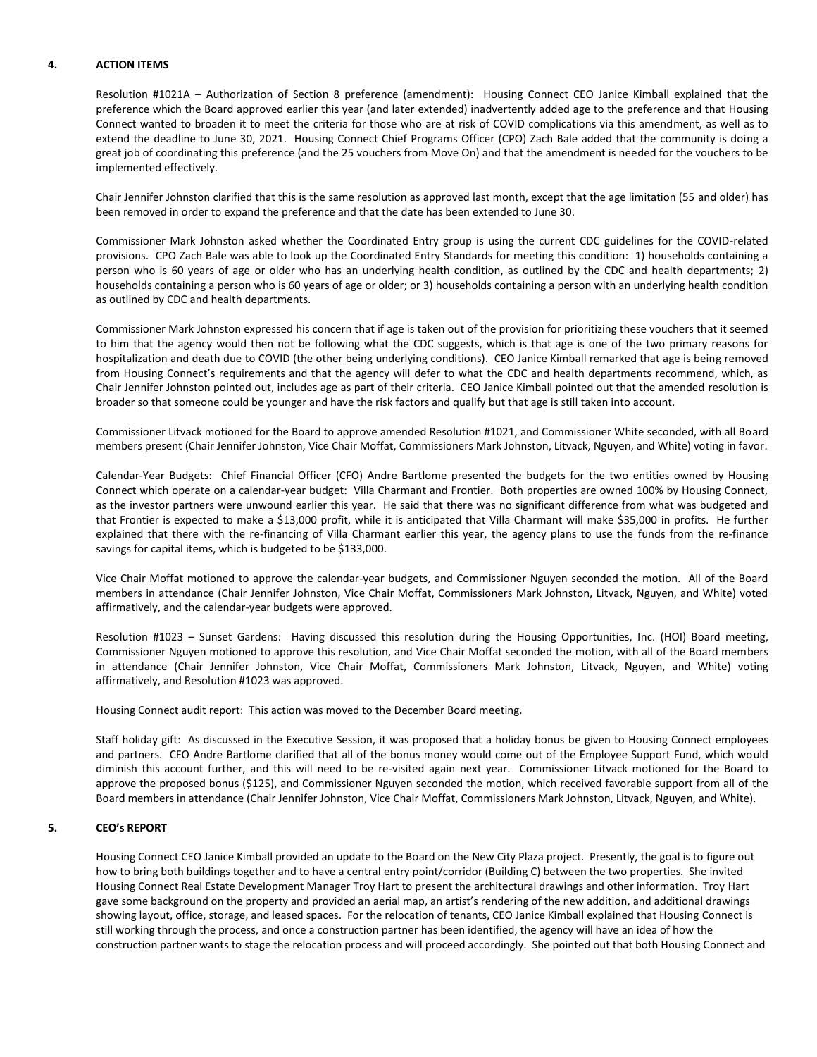## **4. ACTION ITEMS**

Resolution #1021A – Authorization of Section 8 preference (amendment): Housing Connect CEO Janice Kimball explained that the preference which the Board approved earlier this year (and later extended) inadvertently added age to the preference and that Housing Connect wanted to broaden it to meet the criteria for those who are at risk of COVID complications via this amendment, as well as to extend the deadline to June 30, 2021. Housing Connect Chief Programs Officer (CPO) Zach Bale added that the community is doing a great job of coordinating this preference (and the 25 vouchers from Move On) and that the amendment is needed for the vouchers to be implemented effectively.

Chair Jennifer Johnston clarified that this is the same resolution as approved last month, except that the age limitation (55 and older) has been removed in order to expand the preference and that the date has been extended to June 30.

Commissioner Mark Johnston asked whether the Coordinated Entry group is using the current CDC guidelines for the COVID-related provisions. CPO Zach Bale was able to look up the Coordinated Entry Standards for meeting this condition: 1) households containing a person who is 60 years of age or older who has an underlying health condition, as outlined by the CDC and health departments; 2) households containing a person who is 60 years of age or older; or 3) households containing a person with an underlying health condition as outlined by CDC and health departments.

Commissioner Mark Johnston expressed his concern that if age is taken out of the provision for prioritizing these vouchers that it seemed to him that the agency would then not be following what the CDC suggests, which is that age is one of the two primary reasons for hospitalization and death due to COVID (the other being underlying conditions). CEO Janice Kimball remarked that age is being removed from Housing Connect's requirements and that the agency will defer to what the CDC and health departments recommend, which, as Chair Jennifer Johnston pointed out, includes age as part of their criteria. CEO Janice Kimball pointed out that the amended resolution is broader so that someone could be younger and have the risk factors and qualify but that age is still taken into account.

Commissioner Litvack motioned for the Board to approve amended Resolution #1021, and Commissioner White seconded, with all Board members present (Chair Jennifer Johnston, Vice Chair Moffat, Commissioners Mark Johnston, Litvack, Nguyen, and White) voting in favor.

Calendar-Year Budgets: Chief Financial Officer (CFO) Andre Bartlome presented the budgets for the two entities owned by Housing Connect which operate on a calendar-year budget: Villa Charmant and Frontier. Both properties are owned 100% by Housing Connect, as the investor partners were unwound earlier this year. He said that there was no significant difference from what was budgeted and that Frontier is expected to make a \$13,000 profit, while it is anticipated that Villa Charmant will make \$35,000 in profits. He further explained that there with the re-financing of Villa Charmant earlier this year, the agency plans to use the funds from the re-finance savings for capital items, which is budgeted to be \$133,000.

Vice Chair Moffat motioned to approve the calendar-year budgets, and Commissioner Nguyen seconded the motion. All of the Board members in attendance (Chair Jennifer Johnston, Vice Chair Moffat, Commissioners Mark Johnston, Litvack, Nguyen, and White) voted affirmatively, and the calendar-year budgets were approved.

Resolution #1023 – Sunset Gardens: Having discussed this resolution during the Housing Opportunities, Inc. (HOI) Board meeting, Commissioner Nguyen motioned to approve this resolution, and Vice Chair Moffat seconded the motion, with all of the Board members in attendance (Chair Jennifer Johnston, Vice Chair Moffat, Commissioners Mark Johnston, Litvack, Nguyen, and White) voting affirmatively, and Resolution #1023 was approved.

Housing Connect audit report: This action was moved to the December Board meeting.

Staff holiday gift: As discussed in the Executive Session, it was proposed that a holiday bonus be given to Housing Connect employees and partners. CFO Andre Bartlome clarified that all of the bonus money would come out of the Employee Support Fund, which would diminish this account further, and this will need to be re-visited again next year. Commissioner Litvack motioned for the Board to approve the proposed bonus (\$125), and Commissioner Nguyen seconded the motion, which received favorable support from all of the Board members in attendance (Chair Jennifer Johnston, Vice Chair Moffat, Commissioners Mark Johnston, Litvack, Nguyen, and White).

## **5. CEO's REPORT**

Housing Connect CEO Janice Kimball provided an update to the Board on the New City Plaza project. Presently, the goal is to figure out how to bring both buildings together and to have a central entry point/corridor (Building C) between the two properties. She invited Housing Connect Real Estate Development Manager Troy Hart to present the architectural drawings and other information. Troy Hart gave some background on the property and provided an aerial map, an artist's rendering of the new addition, and additional drawings showing layout, office, storage, and leased spaces. For the relocation of tenants, CEO Janice Kimball explained that Housing Connect is still working through the process, and once a construction partner has been identified, the agency will have an idea of how the construction partner wants to stage the relocation process and will proceed accordingly. She pointed out that both Housing Connect and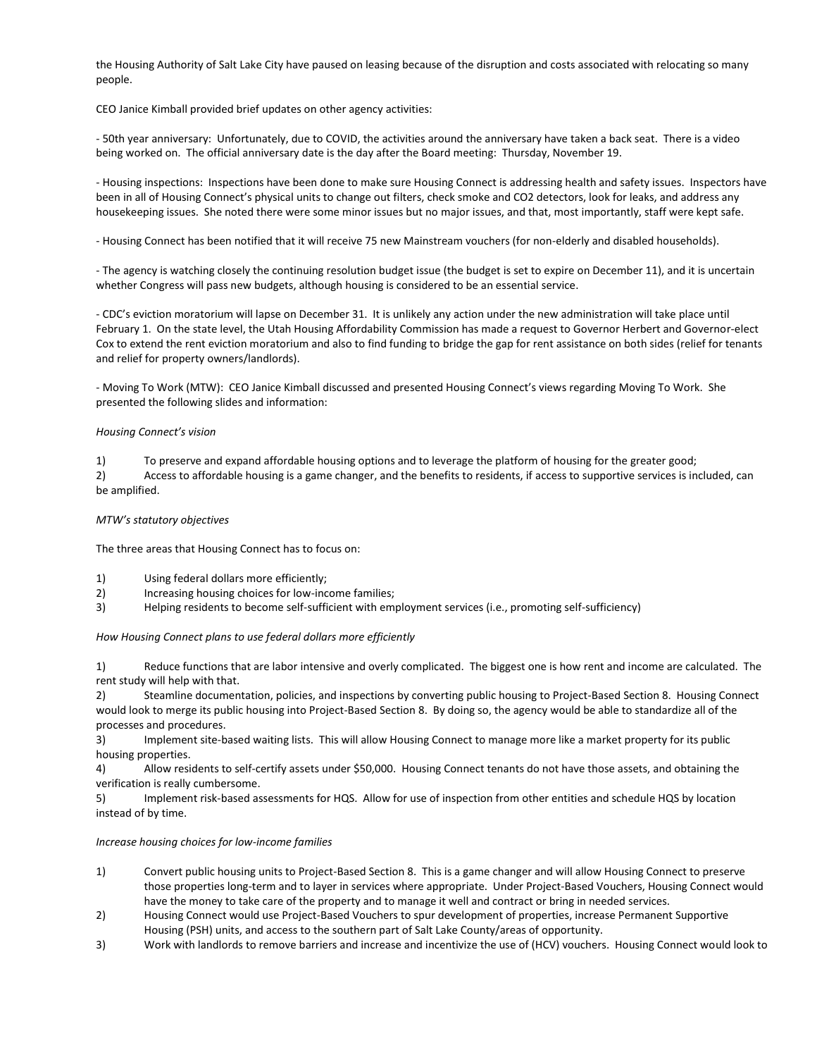the Housing Authority of Salt Lake City have paused on leasing because of the disruption and costs associated with relocating so many people.

CEO Janice Kimball provided brief updates on other agency activities:

- 50th year anniversary: Unfortunately, due to COVID, the activities around the anniversary have taken a back seat. There is a video being worked on. The official anniversary date is the day after the Board meeting: Thursday, November 19.

- Housing inspections: Inspections have been done to make sure Housing Connect is addressing health and safety issues. Inspectors have been in all of Housing Connect's physical units to change out filters, check smoke and CO2 detectors, look for leaks, and address any housekeeping issues. She noted there were some minor issues but no major issues, and that, most importantly, staff were kept safe.

- Housing Connect has been notified that it will receive 75 new Mainstream vouchers (for non-elderly and disabled households).

- The agency is watching closely the continuing resolution budget issue (the budget is set to expire on December 11), and it is uncertain whether Congress will pass new budgets, although housing is considered to be an essential service.

- CDC's eviction moratorium will lapse on December 31. It is unlikely any action under the new administration will take place until February 1. On the state level, the Utah Housing Affordability Commission has made a request to Governor Herbert and Governor-elect Cox to extend the rent eviction moratorium and also to find funding to bridge the gap for rent assistance on both sides (relief for tenants and relief for property owners/landlords).

- Moving To Work (MTW): CEO Janice Kimball discussed and presented Housing Connect's views regarding Moving To Work. She presented the following slides and information:

## *Housing Connect's vision*

1) To preserve and expand affordable housing options and to leverage the platform of housing for the greater good;

2) Access to affordable housing is a game changer, and the benefits to residents, if access to supportive services is included, can be amplified.

## *MTW's statutory objectives*

The three areas that Housing Connect has to focus on:

- 1) Using federal dollars more efficiently;
- 2) Increasing housing choices for low-income families;
- 3) Helping residents to become self-sufficient with employment services (i.e., promoting self-sufficiency)

*How Housing Connect plans to use federal dollars more efficiently*

1) Reduce functions that are labor intensive and overly complicated. The biggest one is how rent and income are calculated. The rent study will help with that.

2) Steamline documentation, policies, and inspections by converting public housing to Project-Based Section 8. Housing Connect would look to merge its public housing into Project-Based Section 8. By doing so, the agency would be able to standardize all of the processes and procedures.

3) Implement site-based waiting lists. This will allow Housing Connect to manage more like a market property for its public housing properties.

4) Allow residents to self-certify assets under \$50,000. Housing Connect tenants do not have those assets, and obtaining the verification is really cumbersome.

5) Implement risk-based assessments for HQS. Allow for use of inspection from other entities and schedule HQS by location instead of by time.

## *Increase housing choices for low-income families*

- 1) Convert public housing units to Project-Based Section 8. This is a game changer and will allow Housing Connect to preserve those properties long-term and to layer in services where appropriate. Under Project-Based Vouchers, Housing Connect would have the money to take care of the property and to manage it well and contract or bring in needed services.
- 2) Housing Connect would use Project-Based Vouchers to spur development of properties, increase Permanent Supportive Housing (PSH) units, and access to the southern part of Salt Lake County/areas of opportunity.
- 3) Work with landlords to remove barriers and increase and incentivize the use of (HCV) vouchers. Housing Connect would look to